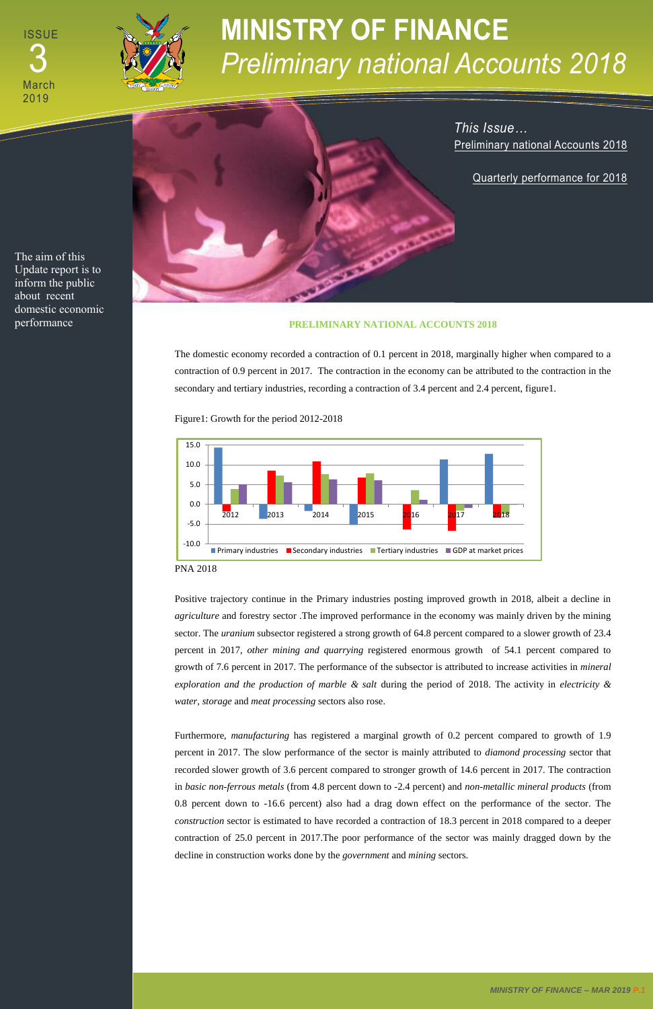## **MINISTRY OF FINANCE**  *Preliminary national Accounts 2018*



The aim of this Update report is to inform the public about recent domestic economic

## performance **PRELIMINARY NATIONAL ACCOUNTS 2018**

The domestic economy recorded a contraction of 0.1 percent in 2018, marginally higher when compared to a contraction of 0.9 percent in 2017. The contraction in the economy can be attributed to the contraction in the secondary and tertiary industries, recording a contraction of 3.4 percent and 2.4 percent, figure1.

Figure1: Growth for the period 2012-2018

PNA 2018

Positive trajectory continue in the Primary industries posting improved growth in 2018, albeit a decline in *agriculture* and forestry sector .The improved performance in the economy was mainly driven by the mining sector. The *uranium* subsector registered a strong growth of 64.8 percent compared to a slower growth of 23.4 percent in 2017, *other mining and quarrying* registered enormous growth of 54.1 percent compared to growth of 7.6 percent in 2017. The performance of the subsector is attributed to increase activities in *mineral exploration and the production of marble & salt* during the period of 2018. The activity in *electricity & water, storage* and *meat processing* sectors also rose.

**ISSUE** March 2019 05 3



Furthermore, *manufacturing* has registered a marginal growth of 0.2 percent compared to growth of 1.9

percent in 2017. The slow performance of the sector is mainly attributed to *diamond processing* sector that recorded slower growth of 3.6 percent compared to stronger growth of 14.6 percent in 2017. The contraction in *basic non-ferrous metals* (from 4.8 percent down to -2.4 percent) and *non-metallic mineral products* (from 0.8 percent down to -16.6 percent) also had a drag down effect on the performance of the sector. The *construction* sector is estimated to have recorded a contraction of 18.3 percent in 2018 compared to a deeper contraction of 25.0 percent in 2017.The poor performance of the sector was mainly dragged down by the decline in construction works done by the *government* and *mining* sectors.



*This Issue…* Preliminary national Accounts 2018

Quarterly performance for 2018